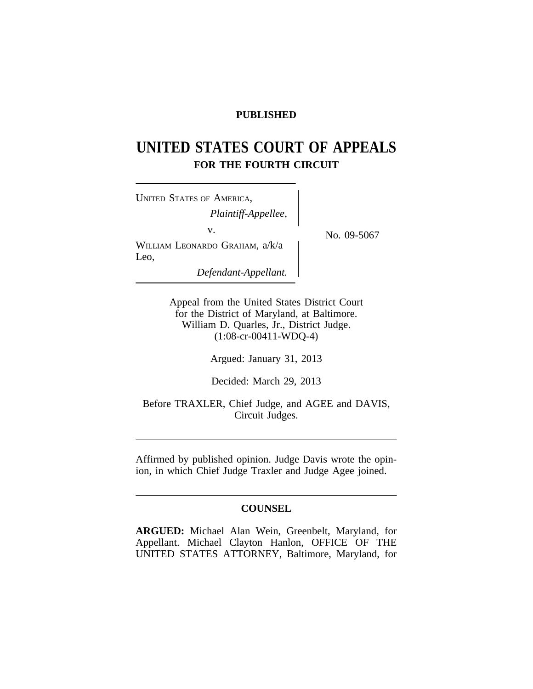# **PUBLISHED**

# **UNITED STATES COURT OF APPEALS FOR THE FOURTH CIRCUIT**

<sup>U</sup>NITED STATES OF AMERICA, *Plaintiff-Appellee,* v.  $N_{\rm O.}$  09-5067 WILLIAM LEONARDO GRAHAM, a/k/a Leo, *Defendant-Appellant.*

Appeal from the United States District Court for the District of Maryland, at Baltimore. William D. Quarles, Jr., District Judge. (1:08-cr-00411-WDQ-4)

Argued: January 31, 2013

Decided: March 29, 2013

Before TRAXLER, Chief Judge, and AGEE and DAVIS, Circuit Judges.

Affirmed by published opinion. Judge Davis wrote the opinion, in which Chief Judge Traxler and Judge Agee joined.

## **COUNSEL**

**ARGUED:** Michael Alan Wein, Greenbelt, Maryland, for Appellant. Michael Clayton Hanlon, OFFICE OF THE UNITED STATES ATTORNEY, Baltimore, Maryland, for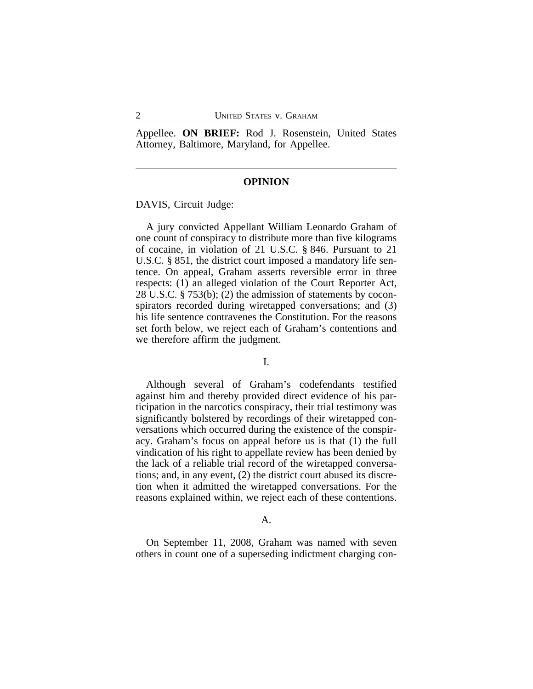Appellee. **ON BRIEF:** Rod J. Rosenstein, United States Attorney, Baltimore, Maryland, for Appellee.

# **OPINION**

DAVIS, Circuit Judge:

A jury convicted Appellant William Leonardo Graham of one count of conspiracy to distribute more than five kilograms of cocaine, in violation of 21 U.S.C. § 846. Pursuant to 21 U.S.C. § 851, the district court imposed a mandatory life sentence. On appeal, Graham asserts reversible error in three respects: (1) an alleged violation of the Court Reporter Act, 28 U.S.C. § 753(b); (2) the admission of statements by coconspirators recorded during wiretapped conversations; and (3) his life sentence contravenes the Constitution. For the reasons set forth below, we reject each of Graham's contentions and we therefore affirm the judgment.

#### I.

Although several of Graham's codefendants testified against him and thereby provided direct evidence of his participation in the narcotics conspiracy, their trial testimony was significantly bolstered by recordings of their wiretapped conversations which occurred during the existence of the conspiracy. Graham's focus on appeal before us is that (1) the full vindication of his right to appellate review has been denied by the lack of a reliable trial record of the wiretapped conversations; and, in any event, (2) the district court abused its discretion when it admitted the wiretapped conversations. For the reasons explained within, we reject each of these contentions.

## A.

On September 11, 2008, Graham was named with seven others in count one of a superseding indictment charging con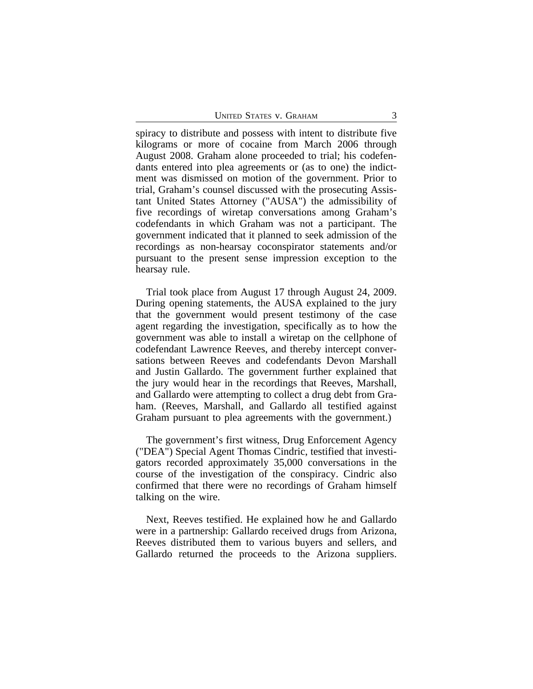spiracy to distribute and possess with intent to distribute five kilograms or more of cocaine from March 2006 through August 2008. Graham alone proceeded to trial; his codefendants entered into plea agreements or (as to one) the indictment was dismissed on motion of the government. Prior to trial, Graham's counsel discussed with the prosecuting Assistant United States Attorney ("AUSA") the admissibility of five recordings of wiretap conversations among Graham's codefendants in which Graham was not a participant. The government indicated that it planned to seek admission of the recordings as non-hearsay coconspirator statements and/or pursuant to the present sense impression exception to the hearsay rule.

Trial took place from August 17 through August 24, 2009. During opening statements, the AUSA explained to the jury that the government would present testimony of the case agent regarding the investigation, specifically as to how the government was able to install a wiretap on the cellphone of codefendant Lawrence Reeves, and thereby intercept conversations between Reeves and codefendants Devon Marshall and Justin Gallardo. The government further explained that the jury would hear in the recordings that Reeves, Marshall, and Gallardo were attempting to collect a drug debt from Graham. (Reeves, Marshall, and Gallardo all testified against Graham pursuant to plea agreements with the government.)

The government's first witness, Drug Enforcement Agency ("DEA") Special Agent Thomas Cindric, testified that investigators recorded approximately 35,000 conversations in the course of the investigation of the conspiracy. Cindric also confirmed that there were no recordings of Graham himself talking on the wire.

Next, Reeves testified. He explained how he and Gallardo were in a partnership: Gallardo received drugs from Arizona, Reeves distributed them to various buyers and sellers, and Gallardo returned the proceeds to the Arizona suppliers.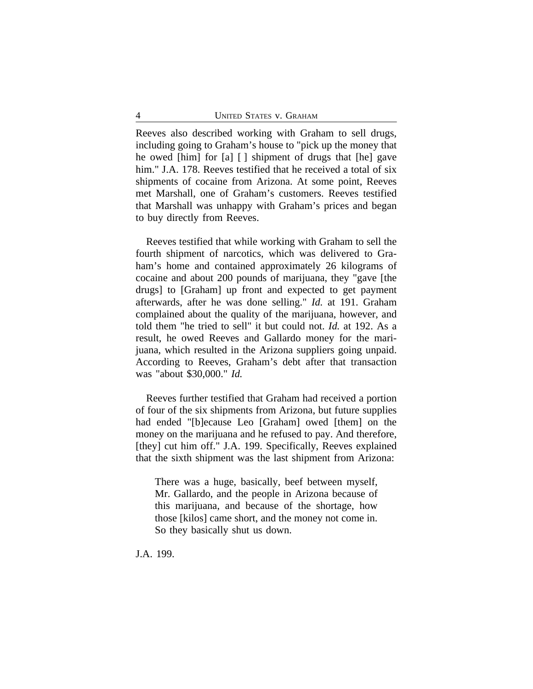Reeves also described working with Graham to sell drugs, including going to Graham's house to "pick up the money that he owed [him] for [a] [ ] shipment of drugs that [he] gave him." J.A. 178. Reeves testified that he received a total of six shipments of cocaine from Arizona. At some point, Reeves met Marshall, one of Graham's customers. Reeves testified that Marshall was unhappy with Graham's prices and began to buy directly from Reeves.

Reeves testified that while working with Graham to sell the fourth shipment of narcotics, which was delivered to Graham's home and contained approximately 26 kilograms of cocaine and about 200 pounds of marijuana, they "gave [the drugs] to [Graham] up front and expected to get payment afterwards, after he was done selling." *Id.* at 191. Graham complained about the quality of the marijuana, however, and told them "he tried to sell" it but could not. *Id.* at 192. As a result, he owed Reeves and Gallardo money for the marijuana, which resulted in the Arizona suppliers going unpaid. According to Reeves, Graham's debt after that transaction was "about \$30,000." *Id.*

Reeves further testified that Graham had received a portion of four of the six shipments from Arizona, but future supplies had ended "[b]ecause Leo [Graham] owed [them] on the money on the marijuana and he refused to pay. And therefore, [they] cut him off." J.A. 199. Specifically, Reeves explained that the sixth shipment was the last shipment from Arizona:

There was a huge, basically, beef between myself, Mr. Gallardo, and the people in Arizona because of this marijuana, and because of the shortage, how those [kilos] came short, and the money not come in. So they basically shut us down.

J.A. 199.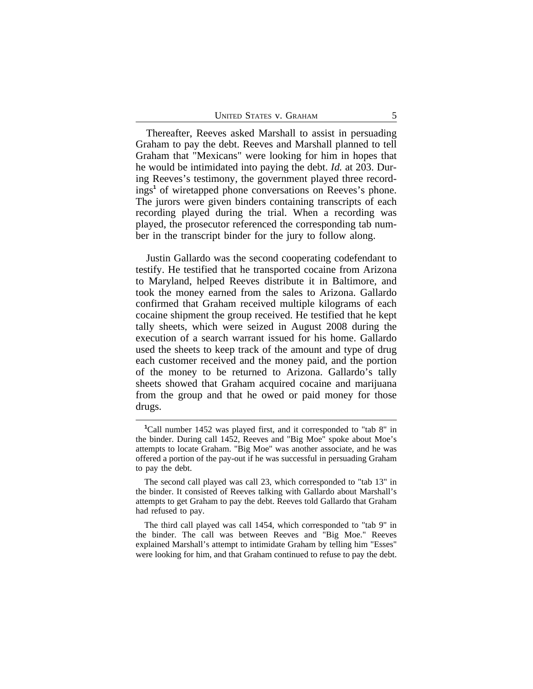Thereafter, Reeves asked Marshall to assist in persuading Graham to pay the debt. Reeves and Marshall planned to tell Graham that "Mexicans" were looking for him in hopes that he would be intimidated into paying the debt. *Id.* at 203. During Reeves's testimony, the government played three recordings**<sup>1</sup>** of wiretapped phone conversations on Reeves's phone. The jurors were given binders containing transcripts of each recording played during the trial. When a recording was played, the prosecutor referenced the corresponding tab number in the transcript binder for the jury to follow along.

Justin Gallardo was the second cooperating codefendant to testify. He testified that he transported cocaine from Arizona to Maryland, helped Reeves distribute it in Baltimore, and took the money earned from the sales to Arizona. Gallardo confirmed that Graham received multiple kilograms of each cocaine shipment the group received. He testified that he kept tally sheets, which were seized in August 2008 during the execution of a search warrant issued for his home. Gallardo used the sheets to keep track of the amount and type of drug each customer received and the money paid, and the portion of the money to be returned to Arizona. Gallardo's tally sheets showed that Graham acquired cocaine and marijuana from the group and that he owed or paid money for those drugs.

**<sup>1</sup>**Call number 1452 was played first, and it corresponded to "tab 8" in the binder. During call 1452, Reeves and "Big Moe" spoke about Moe's attempts to locate Graham. "Big Moe" was another associate, and he was offered a portion of the pay-out if he was successful in persuading Graham to pay the debt.

The second call played was call 23, which corresponded to "tab 13" in the binder. It consisted of Reeves talking with Gallardo about Marshall's attempts to get Graham to pay the debt. Reeves told Gallardo that Graham had refused to pay.

The third call played was call 1454, which corresponded to "tab 9" in the binder. The call was between Reeves and "Big Moe." Reeves explained Marshall's attempt to intimidate Graham by telling him "Esses" were looking for him, and that Graham continued to refuse to pay the debt.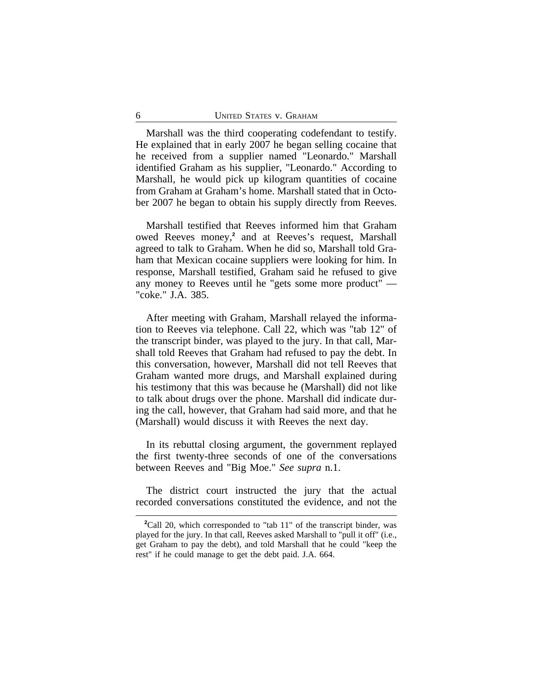Marshall was the third cooperating codefendant to testify. He explained that in early 2007 he began selling cocaine that he received from a supplier named "Leonardo." Marshall identified Graham as his supplier, "Leonardo." According to Marshall, he would pick up kilogram quantities of cocaine from Graham at Graham's home. Marshall stated that in October 2007 he began to obtain his supply directly from Reeves.

Marshall testified that Reeves informed him that Graham owed Reeves money,<sup>2</sup> and at Reeves's request, Marshall agreed to talk to Graham. When he did so, Marshall told Graham that Mexican cocaine suppliers were looking for him. In response, Marshall testified, Graham said he refused to give any money to Reeves until he "gets some more product" — "coke." J.A. 385.

After meeting with Graham, Marshall relayed the information to Reeves via telephone. Call 22, which was "tab 12" of the transcript binder, was played to the jury. In that call, Marshall told Reeves that Graham had refused to pay the debt. In this conversation, however, Marshall did not tell Reeves that Graham wanted more drugs, and Marshall explained during his testimony that this was because he (Marshall) did not like to talk about drugs over the phone. Marshall did indicate during the call, however, that Graham had said more, and that he (Marshall) would discuss it with Reeves the next day.

In its rebuttal closing argument, the government replayed the first twenty-three seconds of one of the conversations between Reeves and "Big Moe." *See supra* n.1.

The district court instructed the jury that the actual recorded conversations constituted the evidence, and not the

<sup>&</sup>lt;sup>2</sup>Call 20, which corresponded to "tab 11" of the transcript binder, was played for the jury. In that call, Reeves asked Marshall to "pull it off" (i.e., get Graham to pay the debt), and told Marshall that he could "keep the rest" if he could manage to get the debt paid. J.A. 664.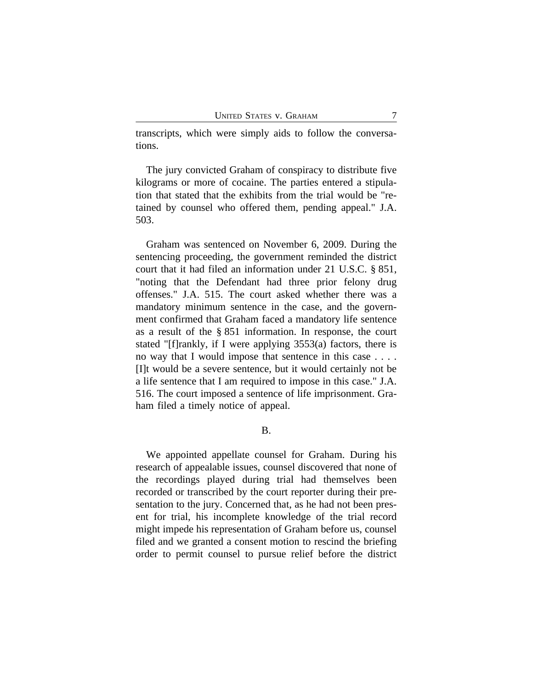transcripts, which were simply aids to follow the conversations.

The jury convicted Graham of conspiracy to distribute five kilograms or more of cocaine. The parties entered a stipulation that stated that the exhibits from the trial would be "retained by counsel who offered them, pending appeal." J.A. 503.

Graham was sentenced on November 6, 2009. During the sentencing proceeding, the government reminded the district court that it had filed an information under 21 U.S.C. § 851, "noting that the Defendant had three prior felony drug offenses." J.A. 515. The court asked whether there was a mandatory minimum sentence in the case, and the government confirmed that Graham faced a mandatory life sentence as a result of the § 851 information. In response, the court stated "[f]rankly, if I were applying 3553(a) factors, there is no way that I would impose that sentence in this case . . . . [I]t would be a severe sentence, but it would certainly not be a life sentence that I am required to impose in this case." J.A. 516. The court imposed a sentence of life imprisonment. Graham filed a timely notice of appeal.

B.

We appointed appellate counsel for Graham. During his research of appealable issues, counsel discovered that none of the recordings played during trial had themselves been recorded or transcribed by the court reporter during their presentation to the jury. Concerned that, as he had not been present for trial, his incomplete knowledge of the trial record might impede his representation of Graham before us, counsel filed and we granted a consent motion to rescind the briefing order to permit counsel to pursue relief before the district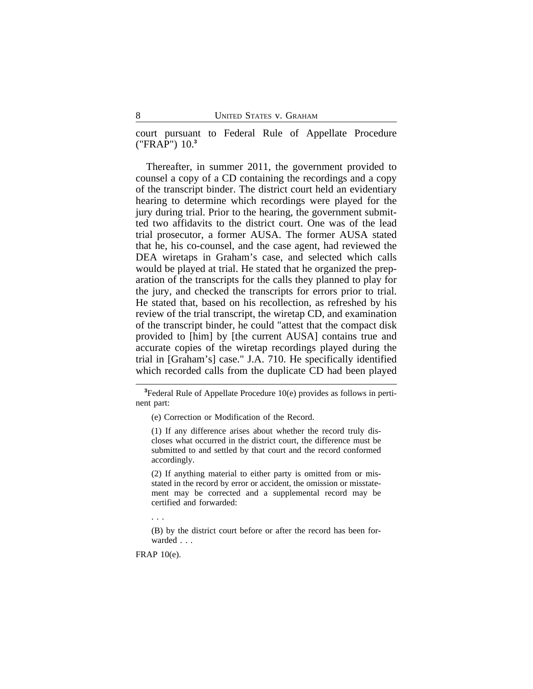court pursuant to Federal Rule of Appellate Procedure ("FRAP") 10.**<sup>3</sup>**

Thereafter, in summer 2011, the government provided to counsel a copy of a CD containing the recordings and a copy of the transcript binder. The district court held an evidentiary hearing to determine which recordings were played for the jury during trial. Prior to the hearing, the government submitted two affidavits to the district court. One was of the lead trial prosecutor, a former AUSA. The former AUSA stated that he, his co-counsel, and the case agent, had reviewed the DEA wiretaps in Graham's case, and selected which calls would be played at trial. He stated that he organized the preparation of the transcripts for the calls they planned to play for the jury, and checked the transcripts for errors prior to trial. He stated that, based on his recollection, as refreshed by his review of the trial transcript, the wiretap CD, and examination of the transcript binder, he could "attest that the compact disk provided to [him] by [the current AUSA] contains true and accurate copies of the wiretap recordings played during the trial in [Graham's] case." J.A. 710. He specifically identified which recorded calls from the duplicate CD had been played

**<sup>3</sup>**Federal Rule of Appellate Procedure 10(e) provides as follows in pertinent part:

(e) Correction or Modification of the Record.

(1) If any difference arises about whether the record truly discloses what occurred in the district court, the difference must be submitted to and settled by that court and the record conformed accordingly.

(2) If anything material to either party is omitted from or misstated in the record by error or accident, the omission or misstatement may be corrected and a supplemental record may be certified and forwarded:

. . .

(B) by the district court before or after the record has been forwarded . . .

FRAP 10(e).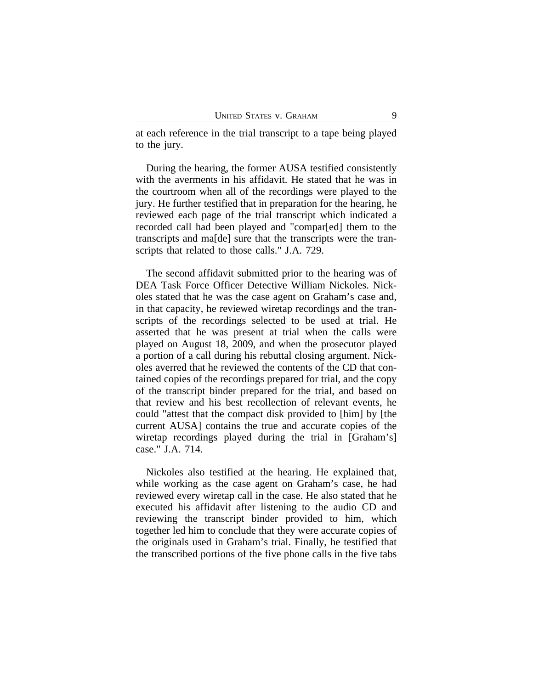at each reference in the trial transcript to a tape being played to the jury.

During the hearing, the former AUSA testified consistently with the averments in his affidavit. He stated that he was in the courtroom when all of the recordings were played to the jury. He further testified that in preparation for the hearing, he reviewed each page of the trial transcript which indicated a recorded call had been played and "compar[ed] them to the transcripts and ma[de] sure that the transcripts were the transcripts that related to those calls." J.A. 729.

The second affidavit submitted prior to the hearing was of DEA Task Force Officer Detective William Nickoles. Nickoles stated that he was the case agent on Graham's case and, in that capacity, he reviewed wiretap recordings and the transcripts of the recordings selected to be used at trial. He asserted that he was present at trial when the calls were played on August 18, 2009, and when the prosecutor played a portion of a call during his rebuttal closing argument. Nickoles averred that he reviewed the contents of the CD that contained copies of the recordings prepared for trial, and the copy of the transcript binder prepared for the trial, and based on that review and his best recollection of relevant events, he could "attest that the compact disk provided to [him] by [the current AUSA] contains the true and accurate copies of the wiretap recordings played during the trial in [Graham's] case." J.A. 714.

Nickoles also testified at the hearing. He explained that, while working as the case agent on Graham's case, he had reviewed every wiretap call in the case. He also stated that he executed his affidavit after listening to the audio CD and reviewing the transcript binder provided to him, which together led him to conclude that they were accurate copies of the originals used in Graham's trial. Finally, he testified that the transcribed portions of the five phone calls in the five tabs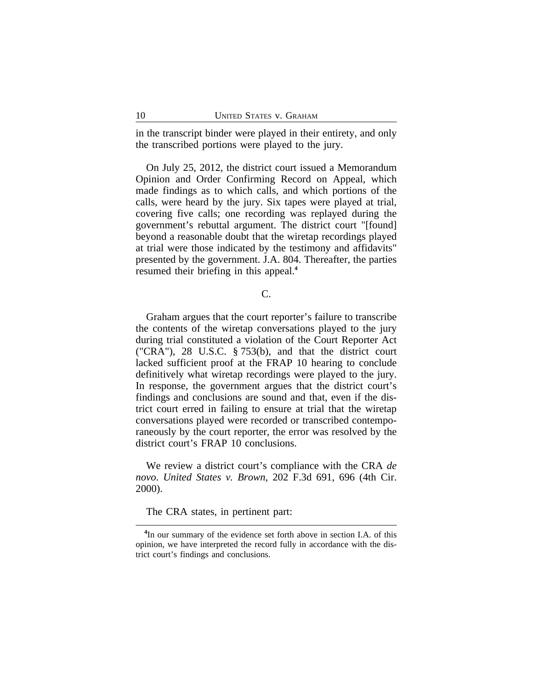in the transcript binder were played in their entirety, and only the transcribed portions were played to the jury.

On July 25, 2012, the district court issued a Memorandum Opinion and Order Confirming Record on Appeal, which made findings as to which calls, and which portions of the calls, were heard by the jury. Six tapes were played at trial, covering five calls; one recording was replayed during the government's rebuttal argument. The district court "[found] beyond a reasonable doubt that the wiretap recordings played at trial were those indicated by the testimony and affidavits" presented by the government. J.A. 804. Thereafter, the parties resumed their briefing in this appeal.**<sup>4</sup>**

# C.

Graham argues that the court reporter's failure to transcribe the contents of the wiretap conversations played to the jury during trial constituted a violation of the Court Reporter Act ("CRA"), 28 U.S.C. § 753(b), and that the district court lacked sufficient proof at the FRAP 10 hearing to conclude definitively what wiretap recordings were played to the jury. In response, the government argues that the district court's findings and conclusions are sound and that, even if the district court erred in failing to ensure at trial that the wiretap conversations played were recorded or transcribed contemporaneously by the court reporter, the error was resolved by the district court's FRAP 10 conclusions.

We review a district court's compliance with the CRA *de novo*. *United States v. Brown*, 202 F.3d 691, 696 (4th Cir. 2000).

The CRA states, in pertinent part:

**<sup>4</sup>** In our summary of the evidence set forth above in section I.A. of this opinion, we have interpreted the record fully in accordance with the district court's findings and conclusions.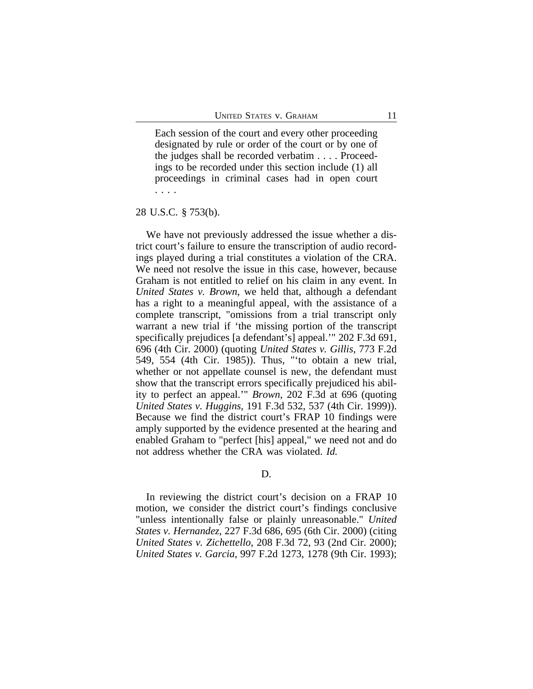Each session of the court and every other proceeding designated by rule or order of the court or by one of the judges shall be recorded verbatim . . . . Proceedings to be recorded under this section include (1) all proceedings in criminal cases had in open court . . . .

## 28 U.S.C. § 753(b).

We have not previously addressed the issue whether a district court's failure to ensure the transcription of audio recordings played during a trial constitutes a violation of the CRA. We need not resolve the issue in this case, however, because Graham is not entitled to relief on his claim in any event. In *United States v. Brown*, we held that, although a defendant has a right to a meaningful appeal, with the assistance of a complete transcript, "omissions from a trial transcript only warrant a new trial if 'the missing portion of the transcript specifically prejudices [a defendant's] appeal.'" 202 F.3d 691, 696 (4th Cir. 2000) (quoting *United States v. Gillis*, 773 F.2d 549, 554 (4th Cir. 1985)). Thus, "'to obtain a new trial, whether or not appellate counsel is new, the defendant must show that the transcript errors specifically prejudiced his ability to perfect an appeal.'" *Brown*, 202 F.3d at 696 (quoting *United States v. Huggins*, 191 F.3d 532, 537 (4th Cir. 1999)). Because we find the district court's FRAP 10 findings were amply supported by the evidence presented at the hearing and enabled Graham to "perfect [his] appeal," we need not and do not address whether the CRA was violated. *Id.*

# D.

In reviewing the district court's decision on a FRAP 10 motion, we consider the district court's findings conclusive "unless intentionally false or plainly unreasonable." *United States v. Hernandez*, 227 F.3d 686, 695 (6th Cir. 2000) (citing *United States v. Zichettello*, 208 F.3d 72, 93 (2nd Cir. 2000); *United States v. Garcia*, 997 F.2d 1273, 1278 (9th Cir. 1993);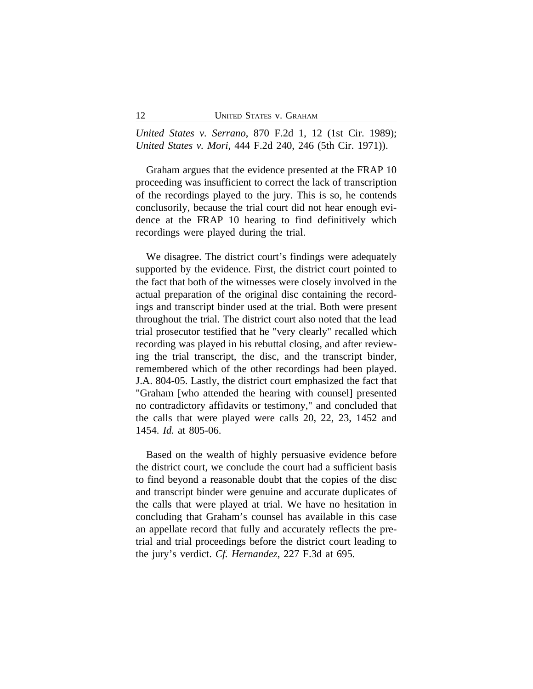*United States v. Serrano*, 870 F.2d 1, 12 (1st Cir. 1989); *United States v. Mori*, 444 F.2d 240, 246 (5th Cir. 1971)).

Graham argues that the evidence presented at the FRAP 10 proceeding was insufficient to correct the lack of transcription of the recordings played to the jury. This is so, he contends conclusorily, because the trial court did not hear enough evidence at the FRAP 10 hearing to find definitively which recordings were played during the trial.

We disagree. The district court's findings were adequately supported by the evidence. First, the district court pointed to the fact that both of the witnesses were closely involved in the actual preparation of the original disc containing the recordings and transcript binder used at the trial. Both were present throughout the trial. The district court also noted that the lead trial prosecutor testified that he "very clearly" recalled which recording was played in his rebuttal closing, and after reviewing the trial transcript, the disc, and the transcript binder, remembered which of the other recordings had been played. J.A. 804-05. Lastly, the district court emphasized the fact that "Graham [who attended the hearing with counsel] presented no contradictory affidavits or testimony," and concluded that the calls that were played were calls 20, 22, 23, 1452 and 1454. *Id.* at 805-06.

Based on the wealth of highly persuasive evidence before the district court, we conclude the court had a sufficient basis to find beyond a reasonable doubt that the copies of the disc and transcript binder were genuine and accurate duplicates of the calls that were played at trial. We have no hesitation in concluding that Graham's counsel has available in this case an appellate record that fully and accurately reflects the pretrial and trial proceedings before the district court leading to the jury's verdict. *Cf. Hernandez*, 227 F.3d at 695.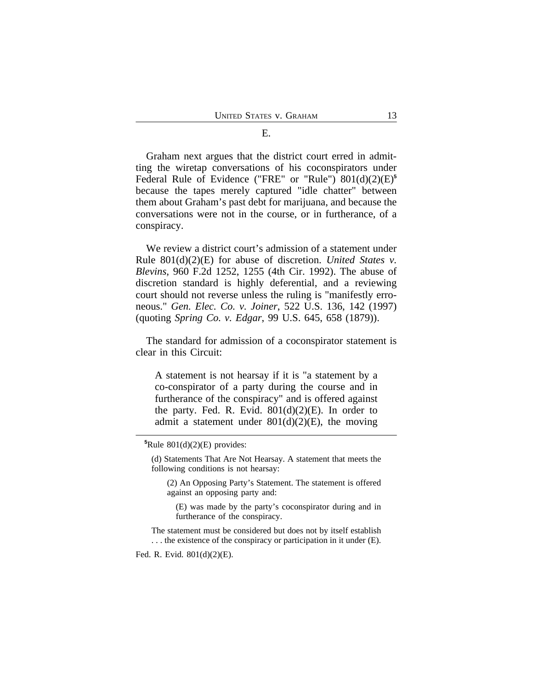Graham next argues that the district court erred in admitting the wiretap conversations of his coconspirators under Federal Rule of Evidence ("FRE" or "Rule") 801(d)(2)(E)**<sup>5</sup>** because the tapes merely captured "idle chatter" between them about Graham's past debt for marijuana, and because the conversations were not in the course, or in furtherance, of a conspiracy.

We review a district court's admission of a statement under Rule 801(d)(2)(E) for abuse of discretion. *United States v. Blevins*, 960 F.2d 1252, 1255 (4th Cir. 1992). The abuse of discretion standard is highly deferential, and a reviewing court should not reverse unless the ruling is "manifestly erroneous." *Gen. Elec. Co. v. Joiner*, 522 U.S. 136, 142 (1997) (quoting *Spring Co. v. Edgar*, 99 U.S. 645, 658 (1879)).

The standard for admission of a coconspirator statement is clear in this Circuit:

A statement is not hearsay if it is "a statement by a co-conspirator of a party during the course and in furtherance of the conspiracy" and is offered against the party. Fed. R. Evid.  $801(d)(2)(E)$ . In order to admit a statement under  $801(d)(2)(E)$ , the moving

(d) Statements That Are Not Hearsay. A statement that meets the following conditions is not hearsay:

(2) An Opposing Party's Statement. The statement is offered against an opposing party and:

(E) was made by the party's coconspirator during and in furtherance of the conspiracy.

The statement must be considered but does not by itself establish . . . the existence of the conspiracy or participation in it under (E).

Fed. R. Evid. 801(d)(2)(E).

 ${}^5$ Rule 801(d)(2)(E) provides: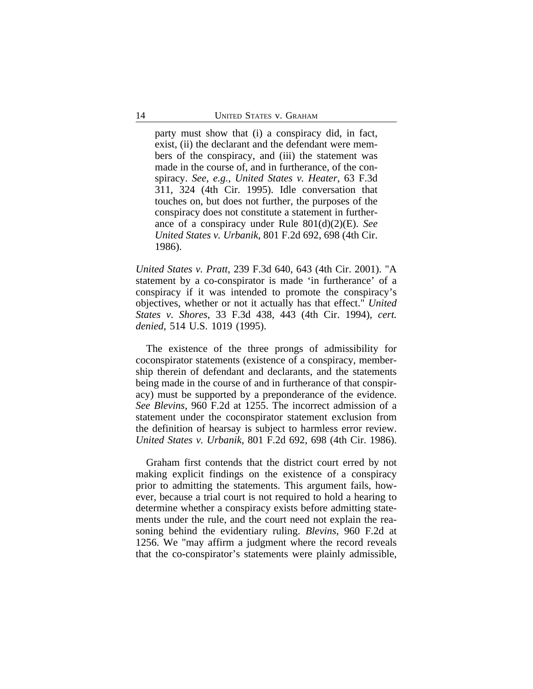party must show that (i) a conspiracy did, in fact, exist, (ii) the declarant and the defendant were members of the conspiracy, and (iii) the statement was made in the course of, and in furtherance, of the conspiracy. *See*, *e.g.*, *United States v. Heater*, 63 F.3d 311, 324 (4th Cir. 1995). Idle conversation that touches on, but does not further, the purposes of the conspiracy does not constitute a statement in furtherance of a conspiracy under Rule 801(d)(2)(E). *See United States v. Urbanik*, 801 F.2d 692, 698 (4th Cir. 1986).

*United States v. Pratt*, 239 F.3d 640, 643 (4th Cir. 2001). "A statement by a co-conspirator is made 'in furtherance' of a conspiracy if it was intended to promote the conspiracy's objectives, whether or not it actually has that effect." *United States v. Shores*, 33 F.3d 438, 443 (4th Cir. 1994), *cert. denied*, 514 U.S. 1019 (1995).

The existence of the three prongs of admissibility for coconspirator statements (existence of a conspiracy, membership therein of defendant and declarants, and the statements being made in the course of and in furtherance of that conspiracy) must be supported by a preponderance of the evidence. *See Blevins*, 960 F.2d at 1255. The incorrect admission of a statement under the coconspirator statement exclusion from the definition of hearsay is subject to harmless error review. *United States v. Urbanik*, 801 F.2d 692, 698 (4th Cir. 1986).

Graham first contends that the district court erred by not making explicit findings on the existence of a conspiracy prior to admitting the statements. This argument fails, however, because a trial court is not required to hold a hearing to determine whether a conspiracy exists before admitting statements under the rule, and the court need not explain the reasoning behind the evidentiary ruling. *Blevins*, 960 F.2d at 1256. We "may affirm a judgment where the record reveals that the co-conspirator's statements were plainly admissible,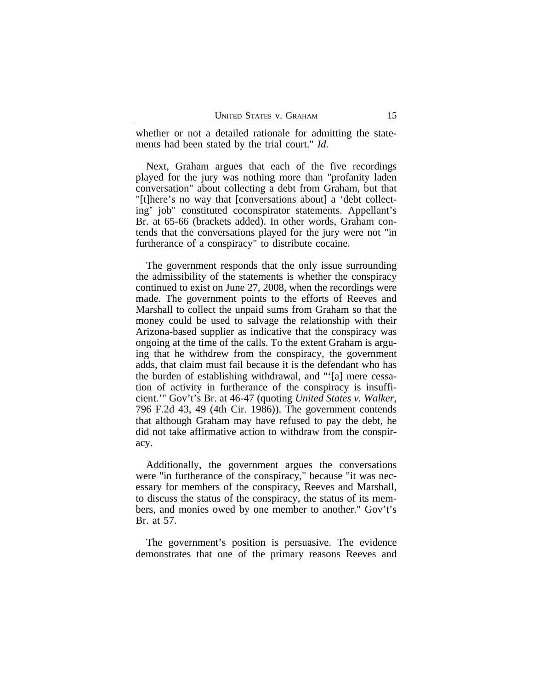whether or not a detailed rationale for admitting the statements had been stated by the trial court." *Id.*

Next, Graham argues that each of the five recordings played for the jury was nothing more than "profanity laden conversation" about collecting a debt from Graham, but that "[t]here's no way that [conversations about] a 'debt collecting' job" constituted coconspirator statements. Appellant's Br. at 65-66 (brackets added). In other words, Graham contends that the conversations played for the jury were not "in furtherance of a conspiracy" to distribute cocaine.

The government responds that the only issue surrounding the admissibility of the statements is whether the conspiracy continued to exist on June 27, 2008, when the recordings were made. The government points to the efforts of Reeves and Marshall to collect the unpaid sums from Graham so that the money could be used to salvage the relationship with their Arizona-based supplier as indicative that the conspiracy was ongoing at the time of the calls. To the extent Graham is arguing that he withdrew from the conspiracy, the government adds, that claim must fail because it is the defendant who has the burden of establishing withdrawal, and "'[a] mere cessation of activity in furtherance of the conspiracy is insufficient.'" Gov't's Br. at 46-47 (quoting *United States v. Walker*, 796 F.2d 43, 49 (4th Cir. 1986)). The government contends that although Graham may have refused to pay the debt, he did not take affirmative action to withdraw from the conspiracy.

Additionally, the government argues the conversations were "in furtherance of the conspiracy," because "it was necessary for members of the conspiracy, Reeves and Marshall, to discuss the status of the conspiracy, the status of its members, and monies owed by one member to another." Gov't's Br. at 57.

The government's position is persuasive. The evidence demonstrates that one of the primary reasons Reeves and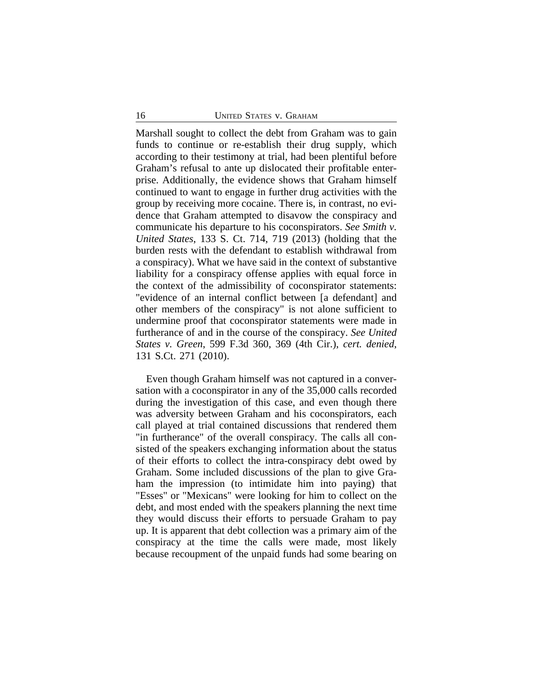Marshall sought to collect the debt from Graham was to gain funds to continue or re-establish their drug supply, which according to their testimony at trial, had been plentiful before Graham's refusal to ante up dislocated their profitable enterprise. Additionally, the evidence shows that Graham himself continued to want to engage in further drug activities with the group by receiving more cocaine. There is, in contrast, no evidence that Graham attempted to disavow the conspiracy and communicate his departure to his coconspirators. *See Smith v. United States*, 133 S. Ct. 714, 719 (2013) (holding that the burden rests with the defendant to establish withdrawal from a conspiracy). What we have said in the context of substantive liability for a conspiracy offense applies with equal force in the context of the admissibility of coconspirator statements: "evidence of an internal conflict between [a defendant] and other members of the conspiracy" is not alone sufficient to undermine proof that coconspirator statements were made in furtherance of and in the course of the conspiracy. *See United States v. Green*, 599 F.3d 360, 369 (4th Cir.), *cert. denied*, 131 S.Ct. 271 (2010).

Even though Graham himself was not captured in a conversation with a coconspirator in any of the 35,000 calls recorded during the investigation of this case, and even though there was adversity between Graham and his coconspirators, each call played at trial contained discussions that rendered them "in furtherance" of the overall conspiracy. The calls all consisted of the speakers exchanging information about the status of their efforts to collect the intra-conspiracy debt owed by Graham. Some included discussions of the plan to give Graham the impression (to intimidate him into paying) that "Esses" or "Mexicans" were looking for him to collect on the debt, and most ended with the speakers planning the next time they would discuss their efforts to persuade Graham to pay up. It is apparent that debt collection was a primary aim of the conspiracy at the time the calls were made, most likely because recoupment of the unpaid funds had some bearing on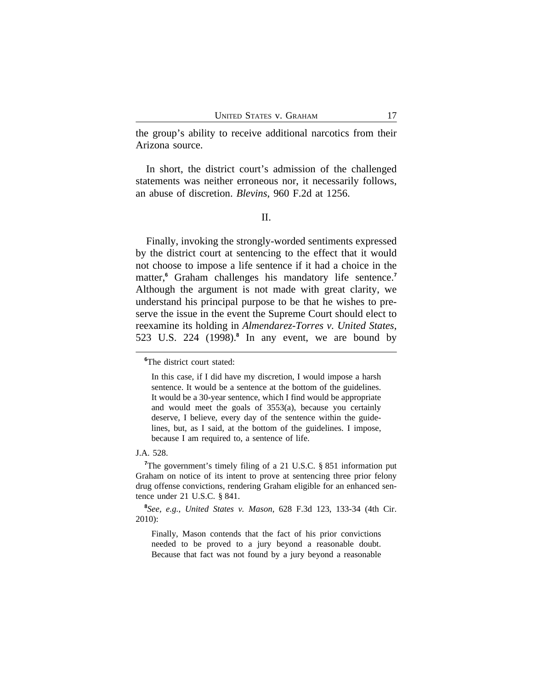the group's ability to receive additional narcotics from their Arizona source.

In short, the district court's admission of the challenged statements was neither erroneous nor, it necessarily follows, an abuse of discretion. *Blevins*, 960 F.2d at 1256.

II.

Finally, invoking the strongly-worded sentiments expressed by the district court at sentencing to the effect that it would not choose to impose a life sentence if it had a choice in the matter,**<sup>6</sup>** Graham challenges his mandatory life sentence.**<sup>7</sup>** Although the argument is not made with great clarity, we understand his principal purpose to be that he wishes to preserve the issue in the event the Supreme Court should elect to reexamine its holding in *Almendarez-Torres v. United States*, 523 U.S. 224 (1998).**<sup>8</sup>** In any event, we are bound by

J.A. 528.

**<sup>7</sup>**The government's timely filing of a 21 U.S.C. § 851 information put Graham on notice of its intent to prove at sentencing three prior felony drug offense convictions, rendering Graham eligible for an enhanced sentence under 21 U.S.C. § 841.

**8** *See, e.g.*, *United States v. Mason*, 628 F.3d 123, 133-34 (4th Cir. 2010):

Finally, Mason contends that the fact of his prior convictions needed to be proved to a jury beyond a reasonable doubt. Because that fact was not found by a jury beyond a reasonable

**<sup>6</sup>**The district court stated:

In this case, if I did have my discretion, I would impose a harsh sentence. It would be a sentence at the bottom of the guidelines. It would be a 30-year sentence, which I find would be appropriate and would meet the goals of 3553(a), because you certainly deserve, I believe, every day of the sentence within the guidelines, but, as I said, at the bottom of the guidelines. I impose, because I am required to, a sentence of life.